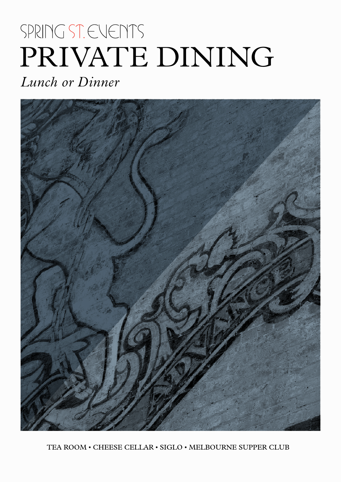# SPRING ST. EVENTS PRIVATE DINING

*Lunch or Dinner*



TEA ROOM • CHEESE CELLAR • SIGLO • MELBOURNE SUPPER CLUB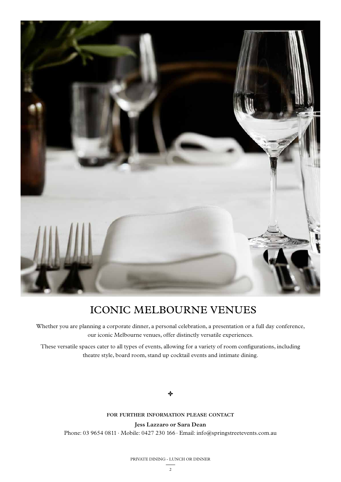

### ICONIC MELBOURNE VENUES

Whether you are planning a corporate dinner, a personal celebration, a presentation or a full day conference, our iconic Melbourne venues, offer distinctly versatile experiences.

These versatile spaces cater to all types of events, allowing for a variety of room configurations, including theatre style, board room, stand up cocktail events and intimate dining.

#### جاد

#### **for further information please contact**

**Jess Lazzaro or Sara Dean**

Phone: 03 9654 0811 · Mobile: 0427 230 166 · Email: info@springstreetevents.com.au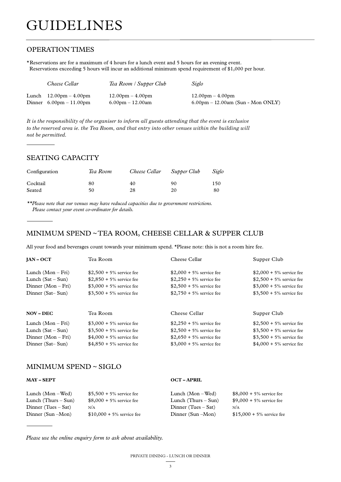### GUIDELINES

#### OPERATION TIMES

\*Reservations are for a maximum of 4 hours for a lunch event and 5 hours for an evening event. Reservations exceeding 5 hours will incur an additional minimum spend requirement of \$1,000 per hour.

| Cheese Cellar                             | Tea Room / Supper Club             | Siglo                                               |
|-------------------------------------------|------------------------------------|-----------------------------------------------------|
| Lunch $12.00 \text{pm} - 4.00 \text{pm}$  | $12.00 \text{pm} - 4.00 \text{pm}$ | $12.00 \text{pm} - 4.00 \text{pm}$                  |
| Dinner $6.00 \text{pm} - 11.00 \text{pm}$ | $6.00 \text{pm} - 12.00 \text{am}$ | $6.00 \text{pm} - 12.00 \text{am}$ (Sun - Mon ONLY) |

*It is the responsibility of the organiser to inform all guests attending that the event is exclusive to the reserved area ie. the Tea Room, and that entry into other venues within the building will not be permitted.*

#### SEATING CAPACITY

| Configuration | Tea Room | Cheese Cellar | Supper Club | Siglo |
|---------------|----------|---------------|-------------|-------|
| Cocktail      | 80       | 40            | 90          | 150   |
| Seated        | 50       | 28            | 20          | 80    |

*\*\*Please note that our venues may have reduced capacities due to government restrictions. Please contact your event co-ordinator for details.*

#### MINIMUM SPEND ~ TEA ROOM, CHEESE CELLAR & SUPPER CLUB

All your food and beverages count towards your minimum spend. \*Please note: this is not a room hire fee.

| $IAN-OCT$           | Tea Room                   | Cheese Cellar              | Supper Club                 |
|---------------------|----------------------------|----------------------------|-----------------------------|
| Lunch $(Mon-Fri)$   | $$2,500 + 5\%$ service fee | $$2,000 + 5\%$ service fee | \$2,000 + $5\%$ service fee |
| Lunch $(Sat - Sun)$ | $$2,850 + 5\%$ service fee | $$2,250 + 5\%$ service fee | $$2,500 + 5\%$ service fee  |
| Dinner $(Mon-Fri)$  | $$3,000 + 5\%$ service fee | $$2,500 + 5\%$ service fee | \$3,000 + $5\%$ service fee |
| Dinner (Sat-Sun)    | $$3,500 + 5\%$ service fee | $$2,750 + 5\%$ service fee | \$3,500 + 5% service fee    |
| <b>NOV – DEC</b>    | Tea Room                   | Cheese Cellar              | Supper Club                 |
| Lunch $(Mon-Fri)$   | $$3,000 + 5\%$ service fee | $$2,250 + 5\%$ service fee | $$2,500 + 5\%$ service fee  |
| Lunch $(Sat - Sun)$ | $$3,500 + 5\%$ service fee | $$2,500 + 5\%$ service fee | $$3,500 + 5\%$ service fee  |
| Dinner $(Mon-Fri)$  | $$4,000 + 5\%$ service fee | $$2,650 + 5\%$ service fee | $$3,500 + 5\%$ service fee  |
| Dinner (Sat–Sun)    | $$4,850 + 5\%$ service fee | $$3,000 + 5\%$ service fee | \$4,000 + 5% service fee    |

#### MINIMUM SPEND ~ SIGLO

| <b>MAY - SEPT</b>     |                             | <b>OCT-APRIL</b>      |                             |
|-----------------------|-----------------------------|-----------------------|-----------------------------|
| Lunch $(Mon - Wed)$   | \$5,500 + 5% service fee    | Lunch $(Mon - Wed)$   | $$8,000 + 5\%$ service fee  |
| Lunch (Thurs $-$ Sun) | $$8,000 + 5\%$ service fee  | Lunch (Thurs $-$ Sun) | \$9,000 + 5% service fee    |
| Dinner (Tues $-$ Sat) | N/A                         | Dinner (Tues $-$ Sat) | N/A                         |
| Dinner $(Sun - Mon)$  | $$10,000 + 5\%$ service fee | Dinner $(Sun - Mon)$  | $$15,000 + 5\%$ service fee |

*Please use the online enquiry form to ask about availability.*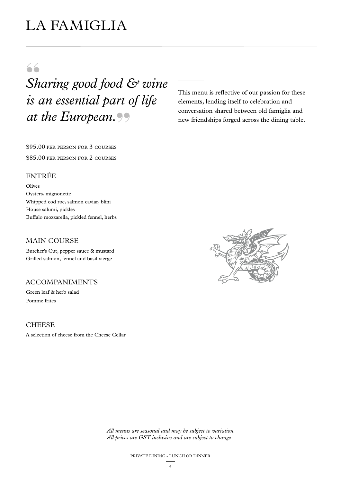### LA FAMIGLIA

### 66

## *Sharing good food & wine is an essential part of life at the European.*

This menu is reflective of our passion for these elements, lending itself to celebration and conversation shared between old famiglia and new friendships forged across the dining table.

\$95.00 per person for 3 courses \$85.00 per person for 2 courses

#### ENTRÉE

Olives Oysters, mignonette Whipped cod roe, salmon caviar, blini House salumi, pickles Buffalo mozzarella, pickled fennel, herbs

#### MAIN COURSE

Butcher's Cut, pepper sauce & mustard Grilled salmon, fennel and basil vierge

#### ACCOMPANIMENTS

Green leaf & herb salad Pomme frites

#### **CHEESE**

A selection of cheese from the Cheese Cellar

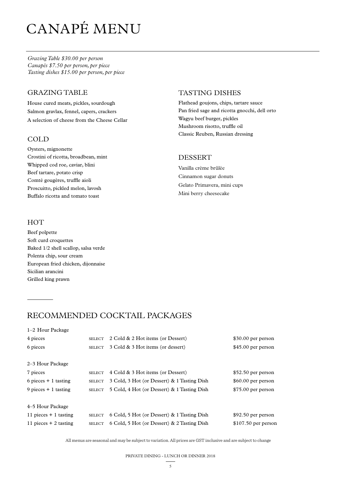## CANAPÉ MENU

*Grazing Table \$30.00 per person Canapés \$7.50 per person, per piece Tasting dishes \$15.00 per person, per piece*

#### GRAZING TABLE

House cured meats, pickles, sourdough Salmon gravlax, fennel, capers, crackers A selection of cheese from the Cheese Cellar

#### COLD

Oysters, mignonette Crostini of ricotta, broadbean, mint Whipped cod roe, caviar, blini Beef tartare, potato crisp Comté gougères, truffle aioli Proscuitto, pickled melon, lavosh Buffalo ricotta and tomato toast

#### HOT

1–2 Hour Package

Beef polpette Soft curd croquettes Baked 1/2 shell scallop, salsa verde Polenta chip, sour cream European fried chicken, dijonnaise Sicilian arancini Grilled king prawn

#### TASTING DISHES

Flathead goujons, chips, tartare sauce Pan fried sage and ricotta gnocchi, dell orto Wagyu beef burger, pickles Mushroom risotto, truffle oil Classic Reuben, Russian dressing

#### DESSERT

Vanilla crème brûlée Cinnamon sugar donuts Gelato Primavera, mini cups Mini berry cheesecake

### RECOMMENDED COCKTAIL PACKAGES

| <b>SELECT</b> | \$30.00 per person                                                                                                                                                                                                                                                                                      |
|---------------|---------------------------------------------------------------------------------------------------------------------------------------------------------------------------------------------------------------------------------------------------------------------------------------------------------|
| <b>SELECT</b> | $$45.00$ per person                                                                                                                                                                                                                                                                                     |
|               |                                                                                                                                                                                                                                                                                                         |
|               |                                                                                                                                                                                                                                                                                                         |
| <b>SELECT</b> | \$52.50 per person                                                                                                                                                                                                                                                                                      |
| <b>SELECT</b> | \$60.00 per person                                                                                                                                                                                                                                                                                      |
| <b>SELECT</b> | \$75.00 per person                                                                                                                                                                                                                                                                                      |
|               |                                                                                                                                                                                                                                                                                                         |
|               |                                                                                                                                                                                                                                                                                                         |
| <b>SELECT</b> | $$92.50$ per person                                                                                                                                                                                                                                                                                     |
| <b>SELECT</b> | $$107.50$ per person                                                                                                                                                                                                                                                                                    |
|               | 2 Cold & 2 Hot items (or Dessert)<br>3 Cold & 3 Hot items (or dessert)<br>4 Cold & 3 Hot items (or Dessert)<br>3 Cold, 3 Hot (or Dessert) & 1 Tasting Dish<br>5 Cold, 4 Hot (or Dessert) & 1 Tasting Dish<br>6 Cold, 5 Hot (or Dessert) & 1 Tasting Dish<br>6 Cold, 5 Hot (or Dessert) & 2 Tasting Dish |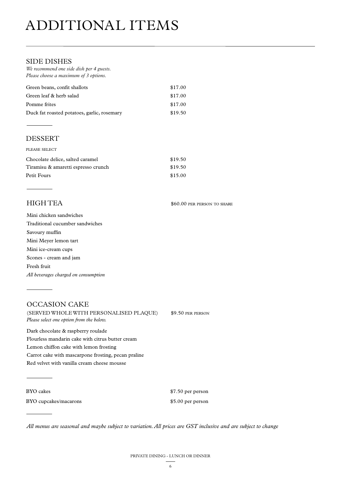## ADDITIONAL ITEMS

#### SIDE DISHES

| We recommend one side dish per 4 guests.<br>Please choose a maximum of 3 options. |         |
|-----------------------------------------------------------------------------------|---------|
| Green beans, confit shallots                                                      | \$17.00 |
| Green leaf & herb salad                                                           | \$17.00 |
| Pomme frites                                                                      | \$17.00 |
| Duck fat roasted potatoes, garlic, rosemary                                       | \$19.50 |

#### DESSERT

| PLEASE SELECT                       |         |
|-------------------------------------|---------|
| Chocolate delice, salted caramel    | \$19.50 |
| Tiramisu & amaretti espresso crunch | \$19.50 |
| Petit Fours                         | \$15.00 |

HIGH TEA \$60.00 per person to share

| Mini chicken sandwiches              |
|--------------------------------------|
| Traditional cucumber sandwiches      |
| Savoury muffin                       |
| Mini Mever lemon tart                |
| Mini ice-cream cups                  |
| Scones - cream and jam               |
| Fresh fruit                          |
| All beverages charged on consumption |

#### OCCASION CAKE (SERVED WHOLE WITH PERSONALISED PLAQUE) \$9.50 PER PERSON *Please select one option from the below.*  Dark chocolate & raspberry roulade

Flourless mandarin cake with citrus butter cream Lemon chiffon cake with lemon frosting Carrot cake with mascarpone frosting, pecan praline Red velvet with vanilla cream cheese mousse

BYO cakes \$7.50 per person

BYO cupcakes/macarons  $$5.00$  per person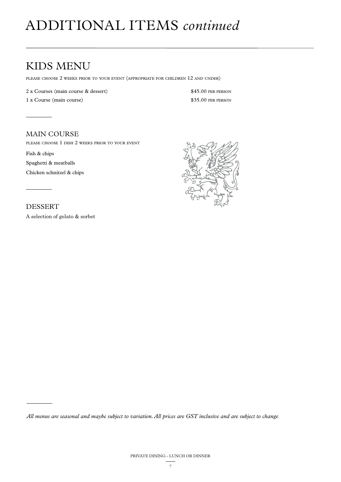## ADDITIONAL ITEMS *continued*

### KIDS MENU

please choose 2 weeks prior to your event (appropriate for children 12 and under)

2 x Courses (main course & dessert) \$45.00 PER PERSON

1 x Course (main course) \$35.00 PER PERSON

#### MAIN COURSE

please choose 1 dish 2 weeks prior to your event

Fish & chips Spaghetti & meatballs Chicken schnitzel & chips



DESSERT

A selection of gelato & sorbet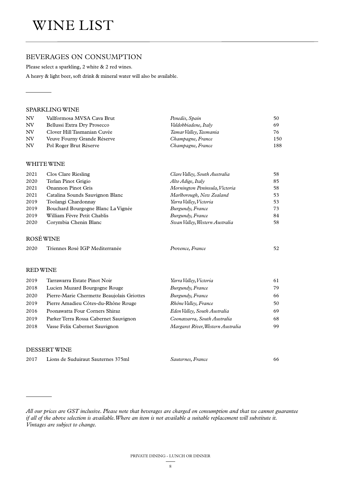#### BEVERAGES ON CONSUMPTION

Please select a sparkling, 2 white & 2 red wines.

A heavy & light beer, soft drink & mineral water will also be available.

#### SPARKLING WINE

| NV | Vallformosa MVSA Cava Brut  | Penedès, Spain         | 50  |
|----|-----------------------------|------------------------|-----|
| NV | Bellussi Extra Dry Prosecco | Valdobbiadene, Italy   | 69  |
| NV | Clover Hill Tasmanian Cuvée | Tamar Valley, Tasmania | 76  |
| NV | Veuve Fourny Grande Réserve | Champagne, France      | 150 |
| NV | Pol Roger Brut Réserve      | Champagne, France      | 188 |

#### WHITE WINE

| 2021 | Clos Clare Riesling                | Clare Valley, South Australia  | 58 |  |  |
|------|------------------------------------|--------------------------------|----|--|--|
| 2020 | Terlan Pinot Grigio                | Alto Adige, Italy              | 85 |  |  |
| 2021 | <b>Onannon Pinot Gris</b>          | Mornington Peninsula, Victoria | 58 |  |  |
| 2021 | Catalina Sounds Sauvignon Blanc    | Marlborough, New Zealand       | 53 |  |  |
| 2019 | Toolangi Chardonnav                | Yarra Valley, Victoria         | 53 |  |  |
| 2019 | Bouchard Bourgogne Blanc La Vignée | Burgundy, France               | 73 |  |  |
| 2019 | William Fèvre Petit Chablis        | Burgundy, France               | 84 |  |  |
| 2020 | Corymbia Chenin Blanc              | Swan Valley, Western Australia | 58 |  |  |
|      |                                    |                                |    |  |  |
|      | ROSE WINE                          |                                |    |  |  |

| 2020 | Triennes Rosé IGP Mediterranée | Provence, France |  |
|------|--------------------------------|------------------|--|
|      |                                |                  |  |

#### RED WINE

| 2019 | Tarrawarra Estate Pinot Noir               | Yarra Valley, Victoria            | 61 |
|------|--------------------------------------------|-----------------------------------|----|
| 2018 | Lucien Muzard Bourgogne Rouge              | Burgundy, France                  | 79 |
| 2020 | Pierre-Marie Chermette Beaujolais Griottes | Burgundy, France                  | 66 |
| 2019 | Pierre Amadieu Côtes-du-Rhône Rouge        | Rhône Valley, France              | 50 |
| 2016 | Poonawatta Four Corners Shiraz             | Eden Valley, South Australia      | 69 |
| 2019 | Parker Terra Rossa Cabernet Sauvignon      | Coonawarra, South Australia       | 68 |
| 2018 | Vasse Felix Cabernet Sauvignon             | Margaret River, Western Australia | 99 |
|      |                                            |                                   |    |

#### DESSERT WINE

| 2017 | Lions de Suduiraut Sauternes 375ml | Sauternes, France |  |
|------|------------------------------------|-------------------|--|
|      |                                    |                   |  |

*All our prices are GST inclusive. Please note that beverages are charged on consumption and that we cannot guarantee if all of the above selection is available. Where an item is not available a suitable replacement will substitute it. Vintages are subject to change.*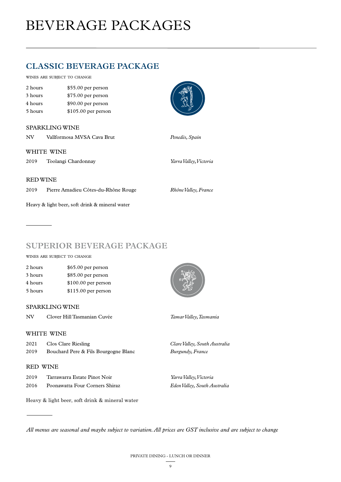## BEVERAGE PACKAGES

### **CLASSIC BEVERAGE PACKAGE**

wines are subject to change

| 2 hours | \$55.00 per person   |
|---------|----------------------|
| 3 hours | \$75.00 per person   |
| 4 hours | \$90.00 per person   |
| 5 hours | $$105.00$ per person |

#### SPARKLING WINE

| NV              | Vallformosa MVSA Cava Brut          | Penedès, Spain         |
|-----------------|-------------------------------------|------------------------|
|                 | WHITE WINE                          |                        |
| 2019            | Toolangi Chardonnay                 | Yarra Valley, Victoria |
|                 |                                     |                        |
| <b>RED WINE</b> |                                     |                        |
| 2019            | Pierre Amadieu Côtes-du-Rhône Rouge | Rhône Valley, France   |
|                 |                                     |                        |

**SUPERIOR BEVERAGE PACKAGE**

wines are subject to change

| 2 hours | \$65.00 per person   |
|---------|----------------------|
| 3 hours | $$85.00$ per person  |
| 4 hours | $$100.00$ per person |
| 5 hours | $$115.00$ per person |

Heavy & light beer, soft drink & mineral water

#### SPARKLING WINE

NV Clover Hill Tasmanian Cuvée *Tamar Valley, Tasmania* 

#### WHITE WINE

| 2021 | Clos Clare Riesling                  | Clare Valley, South Australia |
|------|--------------------------------------|-------------------------------|
| 2019 | Bouchard Pere & Fils Bourgogne Blanc | Burgundy, France              |

#### RED WINE

| 2019 | Tarrawarra Estate Pinot Noir   | Yarra Valley, Victoria       |
|------|--------------------------------|------------------------------|
| 2016 | Poonawatta Four Corners Shiraz | Eden Valley, South Australia |

Heavy & light beer, soft drink & mineral water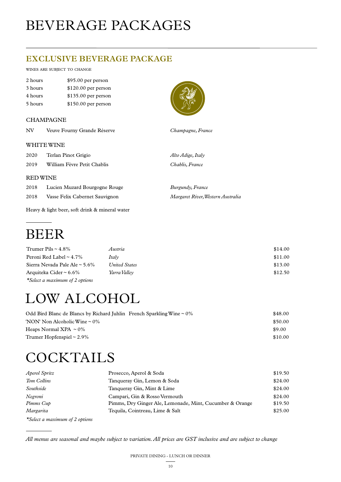## BEVERAGE PACKAGES

### **EXCLUSIVE BEVERAGE PACKAGE**

#### wines are subject to change

| 2 hours | $$95.00$ per person  |
|---------|----------------------|
| 3 hours | $$120.00$ per person |
| 4 hours | $$135.00$ per person |
| 5 hours | \$150.00 per person  |

#### CHAMPAGNE



| NV              | Veuve Fourny Grande Réserve   | Champagne, France |
|-----------------|-------------------------------|-------------------|
|                 | WHITE WINE                    |                   |
| 2020            | Terlan Pinot Grigio           | Alto Adige, Italy |
| 2019            | William Fèvre Petit Chablis   | Chablis, France   |
| <b>RED WINE</b> |                               |                   |
| 2018            | Lucien Muzard Bourgogne Rouge | Burgundy, France  |

2018 Vasse Felix Cabernet Sauvignon *Margaret River, Western Australia*

Heavy & light beer, soft drink & mineral water

### BEER

| Trumer Pils $\sim$ 4.8%          | Austria       | \$14.00 |
|----------------------------------|---------------|---------|
| Peroni Red Label $\sim$ 4.7%     | Italy         | \$11.00 |
| Sierra Nevada Pale Ale ~ $5.6\%$ | United States | \$13.00 |
| Arquiteka Cider ~ $6.6\%$        | Yarra Vallev  | \$12.50 |
| *Select a maximum of 2 options   |               |         |

## LOW ALCOHOL

| Odd Bird Blanc de Blancs by Richard Juhlin French Sparkling Wine $\sim 0\%$ | \$48.00 |
|-----------------------------------------------------------------------------|---------|
| 'NON' Non Alcoholic Wine $\sim 0\%$                                         | \$50.00 |
| Heaps Normal XPA $\sim 0\%$                                                 | \$9.00  |
| Trumer Hopfenspiel $\sim$ 2.9%                                              | \$10.00 |
|                                                                             |         |

## **COCKTAILS**

| Aperol Spritz<br>Prosecco, Aperol & Soda |                                                          | \$19.50 |
|------------------------------------------|----------------------------------------------------------|---------|
| Tom Collins                              | Tanqueray Gin, Lemon & Soda                              | \$24.00 |
| Southside                                | Tanqueray Gin, Mint & Lime                               | \$24.00 |
| Negroni                                  | Campari, Gin & Rosso Vermouth                            | \$24.00 |
| Pimms Cup                                | Pimms, Dry Ginger Ale, Lemonade, Mint, Cucumber & Orange | \$19.50 |
| Margarita                                | Tequila, Cointreau, Lime & Salt                          | \$25.00 |
| $+$ $ +$                                 |                                                          |         |

*\*Select a maximum of 2 options*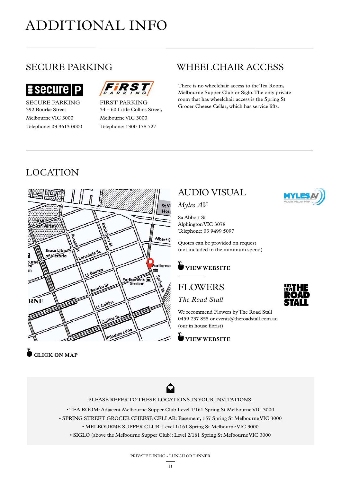## ADDITIONAL INFO



SECURE PARKING 392 Bourke Street Melbourne VIC 3000 Telephone: 03 9613 0000



FIRST PARKING 34 – 60 Little Collins Street, Melbourne VIC 3000 Telephone: 1300 178 727

### SECURE PARKING WHEELCHAIR ACCESS

There is no wheelchair access to the Tea Room, Melbourne Supper Club or Siglo. The only private room that has wheelchair access is the Spring St Grocer Cheese Cellar, which has service lifts.

### LOCATION



### AUDIO VISUAL

#### *Myles AV*

8a Abbott St Alphington VIC 3078 Telephone: 03 9499 5097

Quotes can be provided on request (not included in the minimum spend)



### FLOWERS

*The Road Stall*

We recommend Flowers by The Road Stall 0459 737 855 or events@theroadstall.com.au (our in house florist)

**VIEW WEBSITE** 





**U** CLICK ON MAP



#### PLEASE REFER TO THESE LOCATIONS IN YOUR INVITATIONS:

• TEA ROOM: Adjacent Melbourne Supper Club Level 1/161 Spring St Melbourne VIC 3000 • SPRING STREET GROCER CHEESE CELLAR: Basement, 157 Spring St Melbourne VIC 3000 • MELBOURNE SUPPER CLUB: Level 1/161 Spring St Melbourne VIC 3000 • SIGLO (above the Melbourne Supper Club): Level 2/161 Spring St Melbourne VIC 3000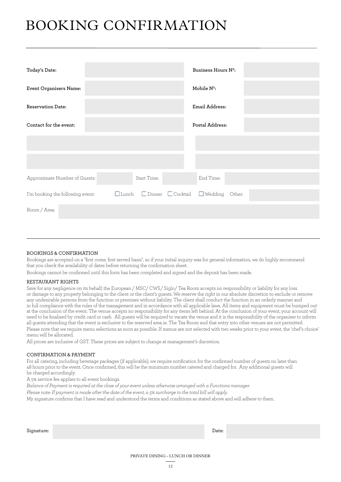## BOOKING CONFIRMATION

| Today's Date:                    |              |             |                               | Business Hours Nº:    |  |  |
|----------------------------------|--------------|-------------|-------------------------------|-----------------------|--|--|
| Event Organisers Name:           |              |             |                               | Mobile $N^{\circ}$ :  |  |  |
| <b>Reservation Date:</b>         |              |             |                               | Email Address:        |  |  |
| Contact for the event:           |              |             |                               | Postal Address:       |  |  |
|                                  |              |             |                               |                       |  |  |
|                                  |              |             |                               |                       |  |  |
| Approximate Number of Guests:    |              | Start Time: |                               | End Time:             |  |  |
| I'm booking the following event: | $\Box$ Lunch |             | $\Box$ Dinner $\Box$ Cocktail | $\Box$ Wedding Other: |  |  |
| Room / Area:                     |              |             |                               |                       |  |  |
|                                  |              |             |                               |                       |  |  |

#### BOOKINGS & CONFIRMATION

Bookings are accepted on a "first come, first served basis", so if your initial inquiry was for general information, we do highly recommend that you check the availability of dates before returning the confirmation sheet.

Bookings cannot be confirmed until this form has been completed and signed and the deposit has been made.

#### RESTAURANT RIGHTS

Save for any negligence on its behalf, the European / MSC/ CWS/ Siglo/ Tea Room accepts no responsibility or liability for any loss or damage to any property belonging to the client or the client's guests. We reserve the right in our absolute discretion to exclude or remove any undesirable persons from the function or premises without liability. The client shall conduct the function in an orderly manner and in full compliance with the rules of the management and in accordance with all applicable laws. All items and equipment must be bumped out at the conclusion of the event. The venue accepts no responsibility for any items left behind. At the conclusion of your event, your account will need to be finalised by credit card or cash. All guests will be required to vacate the venue and it is the responsibility of the organiser to inform all guests attending that the event is exclusive to the reserved area ie. The Tea Room and that entry into other venues are not permitted. Please note that we require menu selections as soon as possible. If menus are not selected with two weeks prior to your event, the 'chef's choice' menu will be allocated.

All prices are inclusive of GST. These prices are subject to change at management's discretion.

#### CONFIRMATION & PAYMENT

For all catering, including beverage packages (if applicable), we require notification for the confirmed number of guests no later than 48 hours prior to the event. Once confirmed, this will be the minimum number catered and charged for. Any additional guests will be charged accordingly.

A 5% service fee applies to all event bookings.

*Balance of Payment is required at the close of your event unless otherwise arranged with a Functions manager.*

*Please note: If payment is made after the date of the event, a 5% surcharge to the total bill will apply.*

My signature confirms that I have read and understood the terms and conditions as stated above and will adhere to them.

| Signature: | Date: |
|------------|-------|
|            |       |